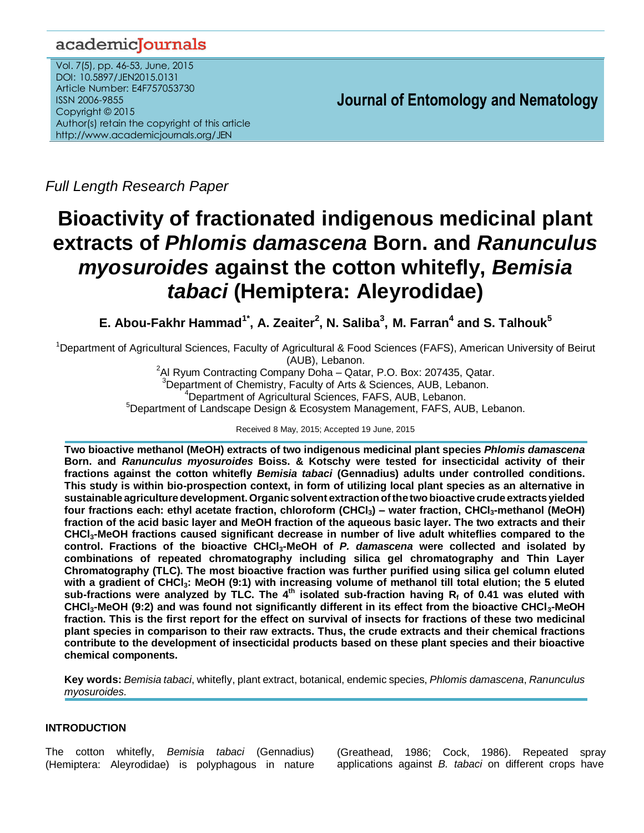# academicJournals

Vol. 7(5), pp. 46-53, June, 2015 DOI: 10.5897/JEN2015.0131 Article Number: E4F757053730 ISSN 2006-9855 Copyright © 2015 Author(s) retain the copyright of this article http://www.academicjournals.org/JEN

**Journal of Entomology and Nematology**

*Full Length Research Paper*

# **Bioactivity of fractionated indigenous medicinal plant extracts of** *Phlomis damascena* **Born. and** *Ranunculus myosuroides* **against the cotton whitefly,** *Bemisia tabaci* **(Hemiptera: Aleyrodidae)**

**E. Abou-Fakhr Hammad1\* , A. Zeaiter<sup>2</sup> , N. Saliba<sup>3</sup> , M. Farran<sup>4</sup> and S. Talhouk<sup>5</sup>**

<sup>1</sup>Department of Agricultural Sciences, Faculty of Agricultural & Food Sciences (FAFS), American University of Beirut (AUB), Lebanon.

Al Ryum Contracting Company Doha – Qatar, P.O. Box: 207435, Qatar. Department of Chemistry, Faculty of Arts & Sciences, AUB, Lebanon. Department of Agricultural Sciences, FAFS, AUB, Lebanon. <sup>5</sup>Department of Landscape Design & Ecosystem Management, FAFS, AUB, Lebanon.

Received 8 May, 2015; Accepted 19 June, 2015

**Two bioactive methanol (MeOH) extracts of two indigenous medicinal plant species** *Phlomis damascena* **Born. and** *Ranunculus myosuroides* **Boiss. & Kotschy were tested for insecticidal activity of their fractions against the cotton whitefly** *Bemisia tabaci* **(Gennadius) adults under controlled conditions. This study is within bio-prospection context, in form of utilizing local plant species as an alternative in sustainable agriculturedevelopment.Organicsolvent extraction ofthetwobioactive crudeextractsyielded four fractions each: ethyl acetate fraction, chloroform (CHCl3) – water fraction, CHCl3-methanol (MeOH) fraction of the acid basic layer and MeOH fraction of the aqueous basic layer. The two extracts and their CHCl3-MeOH fractions caused significant decrease in number of live adult whiteflies compared to the control. Fractions of the bioactive CHCl3-MeOH of** *P. damascena* **were collected and isolated by combinations of repeated chromatography including silica gel chromatography and Thin Layer Chromatography (TLC). The most bioactive fraction was further purified using silica gel column eluted with a gradient of CHCl3: MeOH (9:1) with increasing volume of methanol till total elution; the 5 eluted sub-fractions were analyzed by TLC. The 4th isolated sub-fraction having R<sup>f</sup> of 0.41 was eluted with CHCl3-MeOH (9:2) and was found not significantly different in its effect from the bioactive CHCl3-MeOH fraction. This is the first report for the effect on survival of insects for fractions of these two medicinal plant species in comparison to their raw extracts. Thus, the crude extracts and their chemical fractions contribute to the development of insecticidal products based on these plant species and their bioactive chemical components.**

**Key words:** *Bemisia tabaci*, whitefly, plant extract, botanical, endemic species, *Phlomis damascena*, *Ranunculus myosuroides.*

# **INTRODUCTION**

The cotton whitefly, *Bemisia tabaci* (Gennadius) (Hemiptera: Aleyrodidae) is polyphagous in nature [\(Greathead,](http://www.sciencedirect.com/#bbib83) 1986; Cock, 1986). Repeated spray applications against *B. tabaci* on different crops have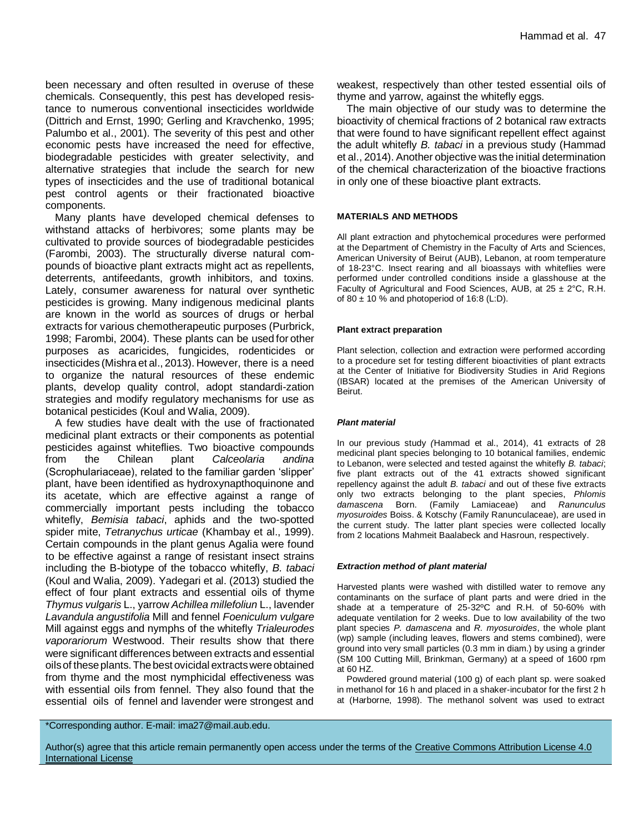been necessary and often resulted in overuse of these chemicals. Consequently, this pest has developed resistance to numerous conventional insecticides worldwide [\(Dittrich](http://www.sciencedirect.com/#bbib53) and Ernst, 1990; Gerling and Kravchenko, 1995; Palumbo et al., 2001). The severity of this pest and other economic pests have increased the need for effective, biodegradable pesticides with greater selectivity, and alternative strategies that include the search for new types of insecticides and the use of traditional botanical pest control agents or their fractionated bioactive components.

Many plants have developed chemical defenses to withstand attacks of herbivores; some plants may be cultivated to provide sources of biodegradable pesticides (Farombi, 2003). The structurally diverse natural compounds of bioactive plant extracts might act as repellents, deterrents, antifeedants, growth inhibitors, and toxins. Lately, consumer awareness for natural over synthetic pesticides is growing. Many indigenous medicinal plants are known in the world as sources of drugs or herbal extracts for various chemotherapeutic purposes (Purbrick, 1998; Farombi, 2004). These plants can be used for other purposes as acaricides, fungicides, rodenticides or insecticides (Mishra et al., 2013). However, there is a need to organize the natural resources of these endemic plants, develop quality control, adopt standardi-zation strategies and modify regulatory mechanisms for use as botanical pesticides (Koul and Walia, 2009).

A few studies have dealt with the use of fractionated medicinal plant extracts or their components as potential pesticides against whiteflies. Two bioactive compounds from the Chilean plant *Calceolaria andina* (Scrophulariaceae), related to the familiar garden 'slipper' plant, have been identified as hydroxynapthoquinone and its acetate, which are effective against a range of commercially important pests including the tobacco whitefly, *Bemisia tabaci*, aphids and the two-spotted spider mite, *Tetranychus urticae* (Khambay et al., 1999). Certain compounds in the plant genus Agalia were found to be effective against a range of resistant insect strains including the B-biotype of the tobacco whitefly, *B. tabaci* (Koul and Walia, 2009). Yadegari et al. (2013) studied the effect of four plant extracts and essential oils of thyme *Thymus vulgaris* L., yarrow *Achillea millefoliun* L., lavender *Lavandula angustifolia* Mill and fennel *Foeniculum vulgare* Mill against eggs and nymphs of the whitefly *Trialeurodes vaporariorum* Westwood. Their results show that there were significant differences between extracts and essential oilsof theseplants. Thebest ovicidal extractswereobtained from thyme and the most nymphicidal effectiveness was with essential oils from fennel. They also found that the essential oils of fennel and lavender were strongest and

weakest, respectively than other tested essential oils of thyme and yarrow, against the whitefly eggs.

The main objective of our study was to determine the bioactivity of chemical fractions of 2 botanical raw extracts that were found to have significant repellent effect against the adult whitefly *B. tabaci* in a previous study (Hammad et al., 2014). Another objective was the initial determination of the chemical characterization of the bioactive fractions in only one of these bioactive plant extracts.

#### **MATERIALS AND METHODS**

All plant extraction and phytochemical procedures were performed at the Department of Chemistry in the Faculty of Arts and Sciences, American University of Beirut (AUB), Lebanon, at room temperature of 18-23°C. Insect rearing and all bioassays with whiteflies were performed under controlled conditions inside a glasshouse at the Faculty of Agricultural and Food Sciences, AUB, at  $25 \pm 2^{\circ}$ C, R.H. of  $80 \pm 10$  % and photoperiod of 16:8 (L:D).

#### **Plant extract preparation**

Plant selection, collection and extraction were performed according to a procedure set for testing different bioactivities of plant extracts at the Center of Initiative for Biodiversity Studies in Arid Regions (IBSAR) located at the premises of the American University of Beirut.

#### *Plant material*

In our previous study *(*Hammad et al., 2014), 41 extracts of 28 medicinal plant species belonging to 10 botanical families, endemic to Lebanon, were selected and tested against the whitefly *B. tabaci*; five plant extracts out of the 41 extracts showed significant repellency against the adult *B. tabaci* and out of these five extracts only two extracts belonging to the plant species, *Phlomis damascena* Born. (Family Lamiaceae) and *Ranunculus myosuroides* Boiss. & Kotschy (Family Ranunculaceae), are used in the current study. The latter plant species were collected locally from 2 locations Mahmeit Baalabeck and Hasroun, respectively.

#### *Extraction method of plant material*

Harvested plants were washed with distilled water to remove any contaminants on the surface of plant parts and were dried in the shade at a temperature of 25-32ºC and R.H. of 50-60% with adequate ventilation for 2 weeks. Due to low availability of the two plant species *P. damascena* and *R. myosuroides*, the whole plant (wp) sample (including leaves, flowers and stems combined), were ground into very small particles (0.3 mm in diam.) by using a grinder (SM 100 Cutting Mill, Brinkman, Germany) at a speed of 1600 rpm at 60 HZ.

Powdered ground material (100 g) of each plant sp. were soaked in methanol for 16 h and placed in a shaker-incubator for the first 2 h at (Harborne, 1998). The methanol solvent was used to extract

\*Corresponding author. E-mail: ima27@mail.aub.edu.

Author(s) agree that this article remain permanently open access under the terms of the Creative Commons Attribution License 4.0 [International License](http://creativecommons.org/licenses/by/4.0/deed.en_US)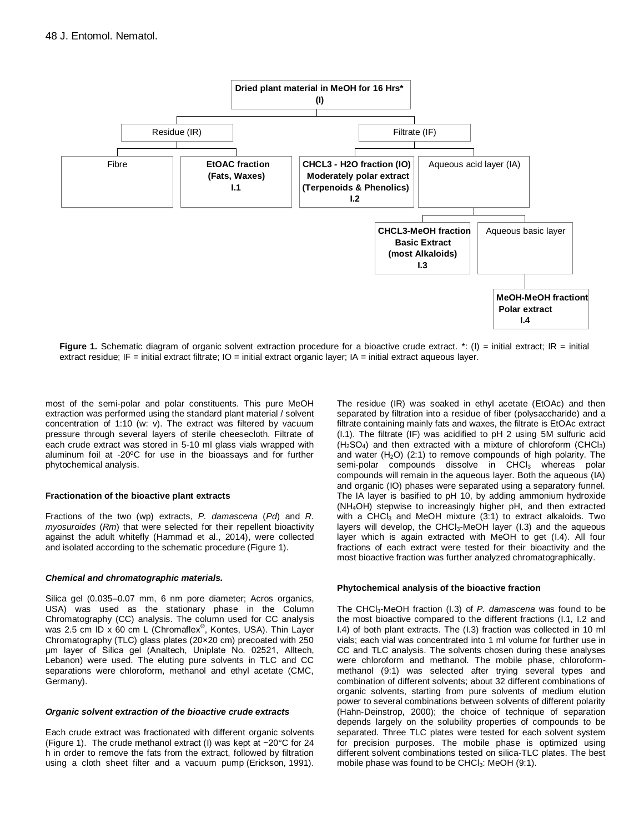

**Figure 1.** Schematic diagram of organic solvent extraction procedure for a bioactive crude extract. \*: (I) = initial extract; IR = initial extract residue; IF = initial extract filtrate; IO = initial extract organic layer; IA = initial extract aqueous layer.

most of the semi-polar and polar constituents. This pure MeOH extraction was performed using the standard plant material / solvent concentration of 1:10 (w: v). The extract was filtered by vacuum pressure through several layers of sterile cheesecloth. Filtrate of each crude extract was stored in 5-10 ml glass vials wrapped with aluminum foil at -20ºC for use in the bioassays and for further phytochemical analysis.

#### **Fractionation of the bioactive plant extracts**

Fractions of the two (wp) extracts, *P. damascena* (*Pd*) and *R. myosuroides* (*Rm*) that were selected for their repellent bioactivity against the adult whitefly (Hammad et al., 2014), were collected and isolated according to the schematic procedure (Figure 1).

#### *Chemical and chromatographic materials.*

Silica gel (0.035–0.07 mm, 6 nm pore diameter; Acros organics, USA) was used as the stationary phase in the Column Chromatography (CC) analysis. The column used for CC analysis was 2.5 cm ID x 60 cm L (Chromaflex<sup>®</sup>, Kontes, USA). Thin Layer Chromatography (TLC) glass plates (20×20 cm) precoated with 250 μm layer of Silica gel (Analtech, Uniplate No. 02521, Alltech, Lebanon) were used. The eluting pure solvents in TLC and CC separations were chloroform, methanol and ethyl acetate (CMC, Germany).

#### *Organic solvent extraction of the bioactive crude extracts*

Each crude extract was fractionated with different organic solvents (Figure 1). The crude methanol extract (I) was kept at −20°C for 24 h in order to remove the fats from the extract, followed by filtration using a cloth sheet filter and a vacuum pump (Erickson, 1991). The residue (IR) was soaked in ethyl acetate (EtOAc) and then separated by filtration into a residue of fiber (polysaccharide) and a filtrate containing mainly fats and waxes, the filtrate is EtOAc extract (I.1). The filtrate (IF) was acidified to pH 2 using 5M sulfuric acid  $(H<sub>2</sub>SO<sub>4</sub>)$  and then extracted with a mixture of chloroform (CHCl<sub>3</sub>) and water  $(H<sub>2</sub>O)$  (2:1) to remove compounds of high polarity. The semi-polar compounds dissolve in CHCl<sub>3</sub> whereas polar compounds will remain in the aqueous layer. Both the aqueous (IA) and organic (IO) phases were separated using a separatory funnel. The IA layer is basified to pH 10, by adding ammonium hydroxide (NH4OH) stepwise to increasingly higher pH, and then extracted with a CHCl<sub>3</sub> and MeOH mixture  $(3:1)$  to extract alkaloids. Two layers will develop, the CHCl<sub>3</sub>-MeOH layer (I.3) and the aqueous layer which is again extracted with MeOH to get (I.4). All four fractions of each extract were tested for their bioactivity and the most bioactive fraction was further analyzed chromatographically.

#### **Phytochemical analysis of the bioactive fraction**

The CHCl3-MeOH fraction (I.3) of *P. damascena* was found to be the most bioactive compared to the different fractions (I.1, I.2 and I.4) of both plant extracts. The (I.3) fraction was collected in 10 ml vials; each vial was concentrated into 1 ml volume for further use in CC and TLC analysis. The solvents chosen during these analyses were chloroform and methanol. The mobile phase, chloroformmethanol (9:1) was selected after trying several types and combination of different solvents; about 32 different combinations of organic solvents, starting from pure solvents of medium elution power to several combinations between solvents of different polarity (Hahn-Deinstrop, 2000); the choice of technique of separation depends largely on the solubility properties of compounds to be separated. Three TLC plates were tested for each solvent system for precision purposes. The mobile phase is optimized using different solvent combinations tested on silica-TLC plates. The best mobile phase was found to be CHCl<sub>3</sub>: MeOH (9:1).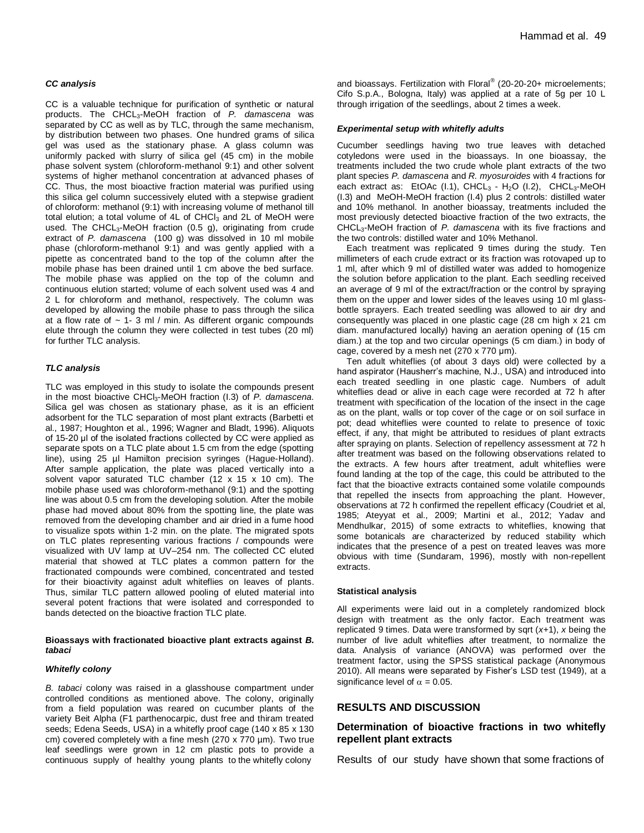#### *CC analysis*

CC is a valuable technique for purification of synthetic or natural products. The CHCL3-MeOH fraction of *P. damascena* was separated by CC as well as by TLC, through the same mechanism, by distribution between two phases. One hundred grams of silica gel was used as the stationary phase. A glass column was uniformly packed with slurry of silica gel (45 cm) in the mobile phase solvent system (chloroform-methanol 9:1) and other solvent systems of higher methanol concentration at advanced phases of CC. Thus, the most bioactive fraction material was purified using this silica gel column successively eluted with a stepwise gradient of chloroform: methanol (9:1) with increasing volume of methanol till total elution; a total volume of 4L of CHCl<sub>3</sub> and 2L of MeOH were used. The CHCL<sub>3</sub>-MeOH fraction  $(0.5 \text{ g})$ , originating from crude extract of *P. damascena* (100 g) was dissolved in 10 ml mobile phase (chloroform-methanol 9:1) and was gently applied with a pipette as concentrated band to the top of the column after the mobile phase has been drained until 1 cm above the bed surface. The mobile phase was applied on the top of the column and continuous elution started; volume of each solvent used was 4 and 2 L for chloroform and methanol, respectively. The column was developed by allowing the mobile phase to pass through the silica at a flow rate of  $\sim$  1- 3 ml / min. As different organic compounds elute through the column they were collected in test tubes (20 ml) for further TLC analysis.

#### *TLC analysis*

TLC was employed in this study to isolate the compounds present in the most bioactive CHCl3-MeOH fraction (I.3) of *P. damascena*. Silica gel was chosen as stationary phase, as it is an efficient adsorbent for the TLC separation of most plant extracts (Barbetti et al., 1987; Houghton et al., 1996; Wagner and Bladt, 1996). Aliquots of 15-20 μl of the isolated fractions collected by CC were applied as separate spots on a TLC plate about 1.5 cm from the edge (spotting line), using 25 µl Hamilton precision syringes (Hague-Holland). After sample application, the plate was placed vertically into a solvent vapor saturated TLC chamber (12 x 15 x 10 cm). The mobile phase used was chloroform-methanol (9:1) and the spotting line was about 0.5 cm from the developing solution. After the mobile phase had moved about 80% from the spotting line, the plate was removed from the developing chamber and air dried in a fume hood to visualize spots within 1-2 min. on the plate. The migrated spots on TLC plates representing various fractions / compounds were visualized with UV lamp at UV–254 nm. The collected CC eluted material that showed at TLC plates a common pattern for the fractionated compounds were combined, concentrated and tested for their bioactivity against adult whiteflies on leaves of plants. Thus, similar TLC pattern allowed pooling of eluted material into several potent fractions that were isolated and corresponded to bands detected on the bioactive fraction TLC plate.

#### **Bioassays with fractionated bioactive plant extracts against** *B. tabaci*

#### *Whitefly colony*

*B. tabaci* colony was raised in a glasshouse compartment under controlled conditions as mentioned above. The colony, originally from a field population was reared on cucumber plants of the variety Beit Alpha (F1 parthenocarpic, dust free and thiram treated seeds; Edena Seeds, USA) in a whitefly proof cage (140 x 85 x 130 cm) covered completely with a fine mesh (270 x 770 µm)*.* Two true leaf seedlings were grown in 12 cm plastic pots to provide a continuous supply of healthy young plants to the whitefly colony

and bioassays. Fertilization with Floral® (20-20-20+ microelements; Cifo S.p.A., Bologna, Italy) was applied at a rate of 5g per 10 L through irrigation of the seedlings, about 2 times a week.

#### *Experimental setup with whitefly adults*

Cucumber seedlings having two true leaves with detached cotyledons were used in the bioassays. In one bioassay, the treatments included the two crude whole plant extracts of the two plant species *P. damascena* and *R. myosuroides* with 4 fractions for each extract as: EtOAc (I.1), CHCL<sub>3</sub> - H<sub>2</sub>O (I.2), CHCL<sub>3</sub>-MeOH (I.3) and MeOH-MeOH fraction (I.4) plus 2 controls: distilled water and 10% methanol. In another bioassay, treatments included the most previously detected bioactive fraction of the two extracts, the CHCL3-MeOH fraction of *P. damascena* with its five fractions and the two controls: distilled water and 10% Methanol.

Each treatment was replicated 9 times during the study. Ten millimeters of each crude extract or its fraction was rotovaped up to 1 ml, after which 9 ml of distilled water was added to homogenize the solution before application to the plant. Each seedling received an average of 9 ml of the extract/fraction or the control by spraying them on the upper and lower sides of the leaves using 10 ml glassbottle sprayers. Each treated seedling was allowed to air dry and consequently was placed in one plastic cage (28 cm high x 21 cm diam. manufactured locally) having an aeration opening of (15 cm diam.) at the top and two circular openings (5 cm diam.) in body of cage, covered by a mesh net (270 x 770 μm).

Ten adult whiteflies (of about 3 days old) were collected by a hand aspirator (Hausherr's machine, N.J., USA) and introduced into each treated seedling in one plastic cage. Numbers of adult whiteflies dead or alive in each cage were recorded at 72 h after treatment with specification of the location of the insect in the cage as on the plant, walls or top cover of the cage or on soil surface in pot; dead whiteflies were counted to relate to presence of toxic effect, if any, that might be attributed to residues of plant extracts after spraying on plants. Selection of repellency assessment at 72 h after treatment was based on the following observations related to the extracts. A few hours after treatment, adult whiteflies were found landing at the top of the cage, this could be attributed to the fact that the bioactive extracts contained some volatile compounds that repelled the insects from approaching the plant. However, observations at 72 h confirmed the repellent efficacy (Coudriet et al, 1985; Ateyyat et al., 2009; Martini et al., 2012; Yadav and Mendhulkar, 2015) of some extracts to whiteflies, knowing that some botanicals are characterized by reduced stability which indicates that the presence of a pest on treated leaves was more obvious with time (Sundaram, 1996), mostly with non-repellent extracts.

#### **Statistical analysis**

All experiments were laid out in a completely randomized block design with treatment as the only factor. Each treatment was replicated 9 times. Data were transformed by sqrt (*x*+1), *x* being the number of live adult whiteflies after treatment, to normalize the data. Analysis of variance (ANOVA) was performed over the treatment factor, using the SPSS statistical package (Anonymous 2010). All means were separated by Fisher's LSD test (1949), at a significance level of  $\alpha = 0.05$ .

#### **RESULTS AND DISCUSSION**

#### **Determination of bioactive fractions in two whitefly repellent plant extracts**

Results of our study have shown that some fractions of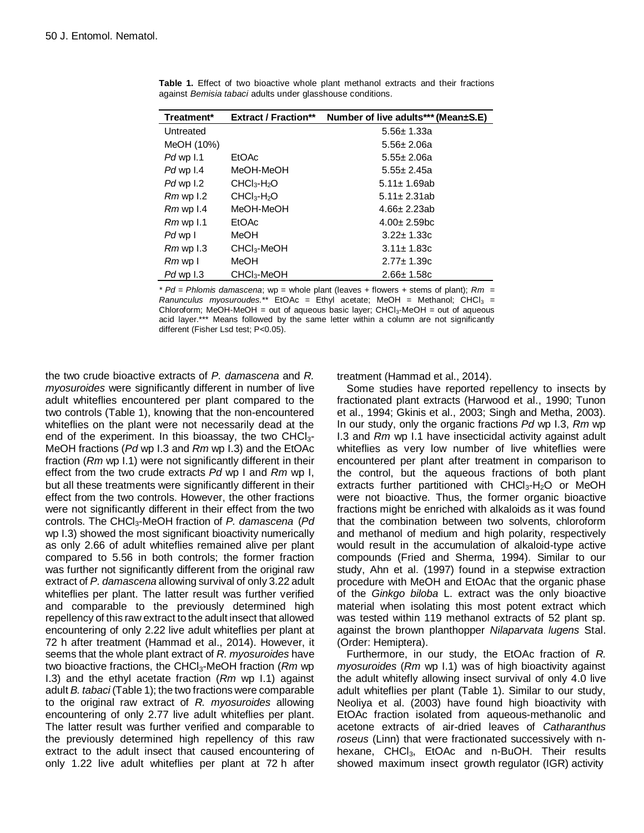| Treatment*           | <b>Extract / Fraction**</b> | Number of live adults*** (Mean±S.E) |
|----------------------|-----------------------------|-------------------------------------|
| Untreated            |                             | $5.56 \pm 1.33a$                    |
| MeOH (10%)           |                             | $5.56 \pm 2.06a$                    |
| Pd wp I.1            | EtOAc                       | $5.55 \pm 2.06a$                    |
| Pd wp I.4            | MeOH-MeOH                   | $5.55 \pm 2.45a$                    |
| Pd wp 1.2            | $CHCl3-H2O$                 | $5.11 \pm 1.69$ ab                  |
| $Rm$ wp 1.2          | $CHCl3-H2O$                 | $5.11 \pm 2.31$ ab                  |
| $Rm$ wp 1.4          | MeOH-MeOH                   | $4.66 \pm 2.23$ ab                  |
| $Rm$ wp $1.1$        | EtOAc                       | $4.00 \pm 2.59$ bc                  |
| Pd wp I              | MeOH                        | $3.22 \pm 1.33c$                    |
| $Rm$ wp $1.3$        | $CHCl3$ -MeOH               | $3.11 \pm 1.83c$                    |
| $Rm$ wp $\mathsf{I}$ | MeOH                        | $2.77 \pm 1.39c$                    |
| Pd wp 1.3            | $CHCl3$ -MeOH               | $2.66 \pm 1.58$ c                   |

**Table 1.** Effect of two bioactive whole plant methanol extracts and their fractions against *Bemisia tabaci* adults under glasshouse conditions.

*\* Pd* = *Phlomis damascena*; wp = whole plant (leaves + flowers + stems of plant); *Rm* =  $R$ anunculus myosuroudes.\*\* EtOAc = Ethyl acetate; MeOH = Methanol; CHCl<sub>3</sub> = Chloroform; MeOH-MeOH = out of aqueous basic layer; CHCl<sub>3</sub>-MeOH = out of aqueous acid layer.\*\*\* Means followed by the same letter within a column are not significantly different (Fisher Lsd test; P<0.05).

the two crude bioactive extracts of *P. damascena* and *R. myosuroides* were significantly different in number of live adult whiteflies encountered per plant compared to the two controls (Table 1), knowing that the non-encountered whiteflies on the plant were not necessarily dead at the end of the experiment. In this bioassay, the two  $CHCl<sub>3</sub>$ -MeOH fractions (*Pd* wp I.3 and *Rm* wp I.3) and the EtOAc fraction (*Rm* wp I.1) were not significantly different in their effect from the two crude extracts *Pd* wp I and *Rm* wp I, but all these treatments were significantly different in their effect from the two controls. However, the other fractions were not significantly different in their effect from the two controls. The CHCl3-MeOH fraction of *P. damascena* (*Pd*  wp I.3) showed the most significant bioactivity numerically as only 2.66 of adult whiteflies remained alive per plant compared to 5.56 in both controls; the former fraction was further not significantly different from the original raw extract of *P. damascena* allowing survival of only 3.22 adult whiteflies per plant. The latter result was further verified and comparable to the previously determined high repellency of this raw extract to the adult insect that allowed encountering of only 2.22 live adult whiteflies per plant at 72 h after treatment (Hammad et al., 2014). However, it seems that the whole plant extract of *R. myosuroides* have two bioactive fractions, the CHCl3-MeOH fraction (*Rm* wp I.3) and the ethyl acetate fraction (*Rm* wp I.1) against adult *B. tabaci* (Table 1); the two fractions were comparable to the original raw extract of *R. myosuroides* allowing encountering of only 2.77 live adult whiteflies per plant. The latter result was further verified and comparable to the previously determined high repellency of this raw extract to the adult insect that caused encountering of only 1.22 live adult whiteflies per plant at 72 h after

treatment (Hammad et al., 2014).

Some studies have reported repellency to insects by fractionated plant extracts (Harwood et al., 1990; Tunon et al., 1994; Gkinis et al., 2003; Singh and Metha, 2003). In our study, only the organic fractions *Pd* wp I.3, *Rm* wp I.3 and *Rm* wp I.1 have insecticidal activity against adult whiteflies as very low number of live whiteflies were encountered per plant after treatment in comparison to the control, but the aqueous fractions of both plant extracts further partitioned with  $CHCl<sub>3</sub>-H<sub>2</sub>O$  or MeOH were not bioactive. Thus, the former organic bioactive fractions might be enriched with alkaloids as it was found that the combination between two solvents, chloroform and methanol of medium and high polarity, respectively would result in the accumulation of alkaloid-type active compounds (Fried and Sherma, 1994). Similar to our study, Ahn et al. (1997) found in a stepwise extraction procedure with MeOH and EtOAc that the organic phase of the *Ginkgo biloba* L. extract was the only bioactive material when isolating this most potent extract which was tested within 119 methanol extracts of 52 plant sp. against the brown planthopper *Nilaparvata lugens* Stal. (Order: Hemiptera).

Furthermore, in our study, the EtOAc fraction of *R. myosuroides* (*Rm* wp I.1) was of high bioactivity against the adult whitefly allowing insect survival of only 4.0 live adult whiteflies per plant (Table 1). Similar to our study, Neoliya et al. (2003) have found high bioactivity with EtOAc fraction isolated from aqueous-methanolic and acetone extracts of air-dried leaves of *Catharanthus roseus* (Linn) that were fractionated successively with nhexane, CHCl<sub>3</sub>, EtOAc and n-BuOH. Their results showed maximum insect growth regulator (IGR) activity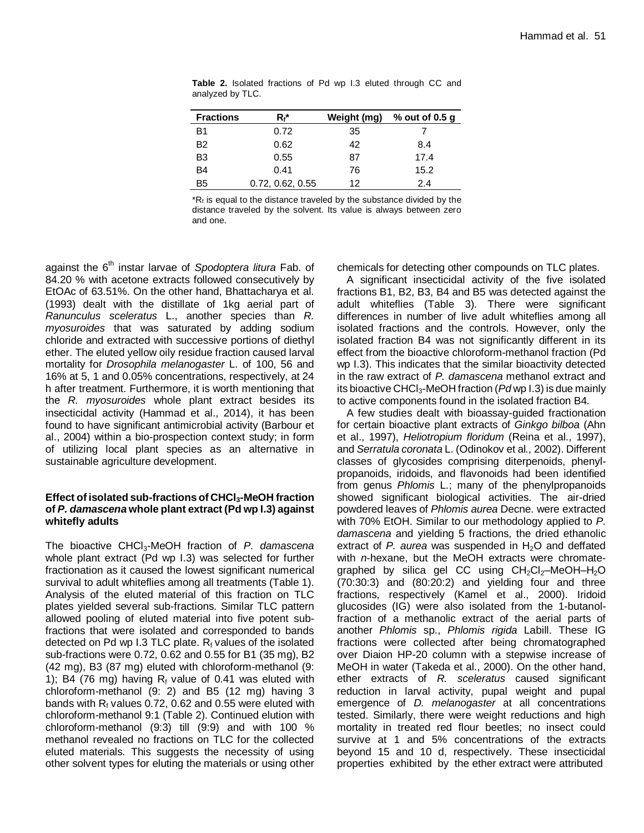| <b>Fractions</b> | Rŕ*              | Weight (mg) | $%$ out of 0.5 q |
|------------------|------------------|-------------|------------------|
| B1               | 0.72             | 35          |                  |
| <b>B2</b>        | 0.62             | 42          | 8.4              |
| B <sub>3</sub>   | 0.55             | 87          | 17.4             |
| <b>B4</b>        | 0.41             | 76          | 15.2             |
| B <sub>5</sub>   | 0.72, 0.62, 0.55 | 12          | 2.4              |

**Table 2.** Isolated fractions of Pd wp I.3 eluted through CC and analyzed by TLC.

 $R_f$  is equal to the distance traveled by the substance divided by the distance traveled by the solvent. Its value is always between zero and one.

against the 6<sup>th</sup> instar larvae of *Spodoptera litura* Fab. of 84.20 % with acetone extracts followed consecutively by EtOAc of 63.51%. On the other hand, Bhattacharya et al*.* (1993) dealt with the distillate of 1kg aerial part of *Ranunculus sceleratus* L., another species than *R. myosuroides* that was saturated by adding sodium chloride and extracted with successive portions of diethyl ether. The eluted yellow oily residue fraction caused larval mortality for *Drosophila melanogaster* L. of 100, 56 and 16% at 5, 1 and 0.05% concentrations, respectively, at 24 h after treatment. Furthermore, it is worth mentioning that the *R. myosuroides* whole plant extract besides its insecticidal activity (Hammad et al., 2014), it has been found to have significant antimicrobial activity (Barbour et al., 2004) within a bio-prospection context study; in form of utilizing local plant species as an alternative in sustainable agriculture development.

### **Effect of isolated sub-fractions of CHCl3-MeOH fraction of** *P. damascena* **whole plant extract (Pd wp I.3) against whitefly adults**

The bioactive CHCl3-MeOH fraction of *P. damascena*  whole plant extract (Pd wp I.3) was selected for further fractionation as it caused the lowest significant numerical survival to adult whiteflies among all treatments (Table 1). Analysis of the eluted material of this fraction on TLC plates yielded several sub-fractions. Similar TLC pattern allowed pooling of eluted material into five potent subfractions that were isolated and corresponded to bands detected on Pd wp I.3 TLC plate.  $R_f$  values of the isolated sub-fractions were 0.72, 0.62 and 0.55 for B1 (35 mg), B2 (42 mg), B3 (87 mg) eluted with chloroform-methanol (9: 1); B4 (76 mg) having  $R_f$  value of 0.41 was eluted with chloroform-methanol (9: 2) and B5 (12 mg) having 3 bands with  $R_f$  values 0.72, 0.62 and 0.55 were eluted with chloroform-methanol 9:1 (Table 2). Continued elution with chloroform-methanol (9:3) till (9:9) and with 100 % methanol revealed no fractions on TLC for the collected eluted materials. This suggests the necessity of using other solvent types for eluting the materials or using other chemicals for detecting other compounds on TLC plates.

A significant insecticidal activity of the five isolated fractions B1, B2, B3, B4 and B5 was detected against the adult whiteflies (Table 3). There were significant differences in number of live adult whiteflies among all isolated fractions and the controls. However, only the isolated fraction B4 was not significantly different in its effect from the bioactive chloroform-methanol fraction (Pd wp I.3). This indicates that the similar bioactivity detected in the raw extract of *P. damascena* methanol extract and its bioactive CHCl<sub>3</sub>-MeOH fraction (*Pd* wp I.3) is due mainly to active components found in the isolated fraction B4.

A few studies dealt with bioassay-guided fractionation for certain bioactive plant extracts of *Ginkgo bilboa* (Ahn et al., 1997), *Heliotropium floridum* (Reina et al., 1997), and *Serratula coronata* L. (Odinokov et al*.,* 2002). Different classes of glycosides comprising diterpenoids, phenylpropanoids, iridoids, and flavonoids had been identified from genus *Phlomis* L.; many of the phenylpropanoids showed significant biological activities. The air-dried powdered leaves of *Phlomis aurea* Decne. were extracted with 70% EtOH. Similar to our methodology applied to *P. damascena* and yielding 5 fractions, the dried ethanolic extract of *P. aurea* was suspended in H<sub>2</sub>O and deffated with *n*-hexane, but the MeOH extracts were chromategraphed by silica gel CC using  $CH_2Cl_2$ -MeOH-H<sub>2</sub>O (70:30:3) and (80:20:2) and yielding four and three fractions, respectively (Kamel et al., 2000). Iridoid glucosides (IG) were also isolated from the 1-butanolfraction of a methanolic extract of the aerial parts of another *Phlomis* sp., *Phlomis rigida* Labill. These IG fractions were collected after being chromatographed over Diaion HP-20 column with a stepwise increase of MeOH in water (Takeda et al., 2000). On the other hand, ether extracts of *R. sceleratus* caused significant reduction in larval activity, pupal weight and pupal emergence of *D. melanogaster* at all concentrations tested. Similarly, there were weight reductions and high mortality in treated red flour beetles; no insect could survive at 1 and 5% concentrations of the extracts beyond 15 and 10 d, respectively. These insecticidal properties exhibited by the ether extract were attributed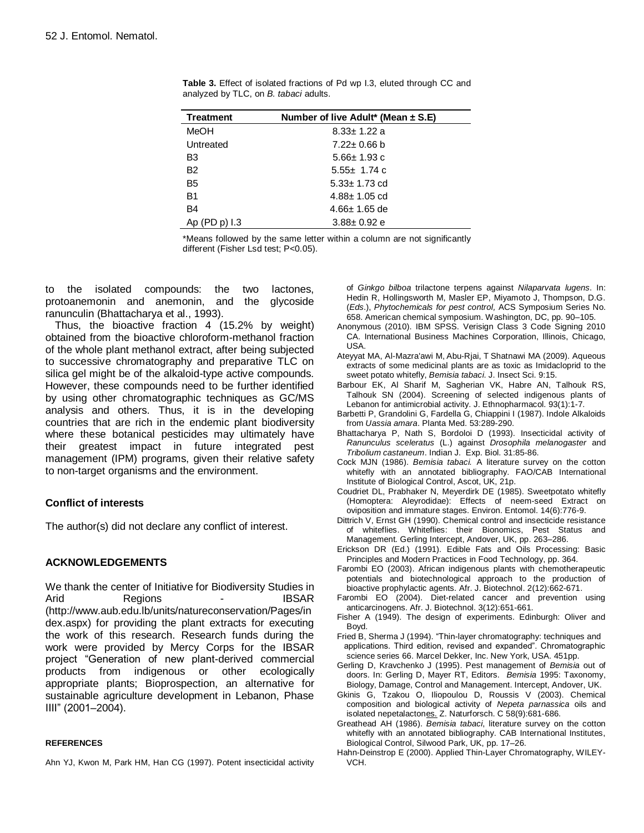| Treatment      | Number of live Adult* (Mean $\pm$ S.E) |
|----------------|----------------------------------------|
| MeOH           | $8.33 \pm 1.22$ a                      |
| Untreated      | $7.22 \pm 0.66$ b                      |
| B <sub>3</sub> | $5.66 \pm 1.93$ c                      |
| B <sub>2</sub> | 5.55 $\pm$ 1.74 c                      |
| B <sub>5</sub> | $5.33 \pm 1.73$ cd                     |
| <b>B1</b>      | $4.88 \pm 1.05$ cd                     |
| <b>B4</b>      | $4.66 \pm 1.65$ de                     |
| Ap (PD p) 1.3  | $3.88 \pm 0.92$ e                      |

**Table 3.** Effect of isolated fractions of Pd wp I.3, eluted through CC and analyzed by TLC, on *B. tabaci* adults.

\*Means followed by the same letter within a column are not significantly different (Fisher Lsd test; P<0.05).

to the isolated compounds: the two lactones, protoanemonin and anemonin, and the glycoside ranunculin (Bhattacharya et al., 1993).

Thus, the bioactive fraction 4 (15.2% by weight) obtained from the bioactive chloroform-methanol fraction of the whole plant methanol extract, after being subjected to successive chromatography and preparative TLC on silica gel might be of the alkaloid-type active compounds. However, these compounds need to be further identified by using other chromatographic techniques as GC/MS analysis and others. Thus, it is in the developing countries that are rich in the endemic plant biodiversity where these botanical pesticides may ultimately have their greatest impact in future integrated pest management (IPM) programs, given their relative safety to non-target organisms and the environment.

# **Conflict of interests**

The author(s) did not declare any conflict of interest.

# **ACKNOWLEDGEMENTS**

We thank the center of Initiative for Biodiversity Studies in Arid Regions - IBSAR [\(http://www.aub.edu.lb/units/natureconservation/Pages/in](http://www.aub.edu.lb/units/natureconservation/Pages/index.aspx) [dex.aspx\)](http://www.aub.edu.lb/units/natureconservation/Pages/index.aspx) for providing the plant extracts for executing the work of this research. Research funds during the work were provided by Mercy Corps for the IBSAR project "Generation of new plant-derived commercial products from indigenous or other ecologically appropriate plants; Bioprospection, an alternative for sustainable agriculture development in Lebanon, Phase IIII" (2001–2004).

#### **REFERENCES**

Ahn YJ, Kwon M, Park HM, Han CG (1997). Potent insecticidal activity

of *Ginkgo bilboa* trilactone terpens against *Nilaparvata lugens*. In: Hedin R, Hollingsworth M, Masler EP, Miyamoto J, Thompson, D.G. (*Eds*.), *Phytochemicals for pest control,* ACS Symposium Series No. 658. American chemical symposium. Washington, DC, pp. 90–105.

- Anonymous (2010). IBM SPSS. Verisign Class 3 Code Signing 2010 CA. International Business Machines Corporation, Illinois, Chicago, USA.
- Ateyyat MA, Al-Mazra'awi M, Abu-Rjai, T Shatnawi MA (2009). Aqueous extracts of some medicinal plants are as toxic as Imidacloprid to the sweet potato whitefly, *Bemisia tabaci*. J. Insect Sci. 9:15.
- Barbour [EK,](https://www.researchgate.net/researcher/39751763_Elie_K_Barbour/) [Al Sharif](https://www.researchgate.net/researcher/31591384_Mohammed_Al_Sharif/) M, [Sagherian](https://www.researchgate.net/researcher/32989048_Vatche_K_Sagherian/) VK, [Habre](https://www.researchgate.net/researcher/28268166_Adele_N_Habre/) AN, [Talhouk](https://www.researchgate.net/researcher/11449481_Rabih_S_Talhouk/) RS[,](https://www.researchgate.net/researcher/50060815_Salma_N_Talhouk/) [Talhouk](https://www.researchgate.net/researcher/50060815_Salma_N_Talhouk/) SN (2004). Screening of selected indigenous plants of Lebanon for antimicrobial activity. J. [Ethnopharmacol.](https://www.researchgate.net/journal/0378-8741_Journal_of_Ethnopharmacology) 93(1):1-7.
- Barbetti P, Grandolini G, Fardella G, Chiappini I (1987). Indole Alkaloids from *Uassia amara*. Planta Med. 53:289-290.
- Bhattacharya P, Nath S, Bordoloi D (1993). Insecticidal activity of *Ranunculus sceleratus* (L.) against *Drosophila melanogaster* and *Tribolium castaneum*. Indian J. Exp. Biol. 31:85-86.
- [Cock](http://www.sciencedirect.com/#bbib40) MJN (1986). *Bemisia tabaci.* A literature survey on the cotton whitefly with an annotated bibliography. FAO/CAB International Institute of Biological Control, Ascot, UK, 21p.
- Coudriet DL, Prabhaker N, Meyerdirk DE (1985). Sweetpotato whitefly (Homoptera: Aleyrodidae): Effects of neem-seed Extract on oviposition and immature stages. Environ. Entomol. 14(6):776-9.
- [Dittrich](http://www.sciencedirect.com/#bbib53) V, Ernst GH (1990). Chemical control and insecticide resistance of whiteflies. Whiteflies: their Bionomics, Pest Status and Management*.* Gerling Intercept, Andover, UK, pp. 263–286.
- Erickson DR (Ed.) (1991). [Edible Fats and Oils Processing: Basic](http://scholar.google.com/scholar?q=%22Edible+Fats+and+Oils+Processing%3A+Basic+Principles+and+Modern+Practices%22)  [Principles and Modern Practices](http://scholar.google.com/scholar?q=%22Edible+Fats+and+Oils+Processing%3A+Basic+Principles+and+Modern+Practices%22) in Food Technology, pp. 364.
- Farombi EO (2003). African indigenous plants with chemotherapeutic potentials and biotechnological approach to the production of bioactive prophylactic agents. Afr. J. Biotechnol. 2(12):662-671.
- Farombi EO (2004). Diet-related cancer and prevention using anticarcinogens. Afr. J. Biotechnol. 3(12):651-661.
- Fisher A (1949). The design of experiments. Edinburgh: Oliver and Boyd.
- Fried B, Sherma J (1994). "Thin-layer chromatography: techniques and applications. Third edition, revised and expanded". Chromatographic science series 66. Marcel Dekker, Inc. New York, USA. 451pp.
- Gerling D, Kravchenko J (1995). Pest management of *Bemisia* out of doors. In: Gerling D, Mayer RT, Editors. *Bemisia* 1995: Taxonomy, Biology, Damage, Control and Management. Intercept, Andover, UK.
- Gkinis G, Tzakou O, Iliopoulou D, Roussis V (2003). [Chemical](javascript:showdetail(t20033174982,%20)  [composition and biological activity of](javascript:showdetail(t20033174982,%20) *Nepeta parnassica* oils and [isolated nepetalactones.](javascript:showdetail(t20033174982,%20) Z. Naturforsch. C 58(9):681-686.
- [Greathead](http://www.sciencedirect.com/#bbib83) AH (1986). *Bemisia tabaci*, literature survey on the cotton whitefly with an annotated bibliography. CAB International Institutes, Biological Control, Silwood Park, UK, pp. 17–26.
- Hahn-Deinstrop E (2000). Applied Thin-Layer Chromatography, WILEY-VCH.